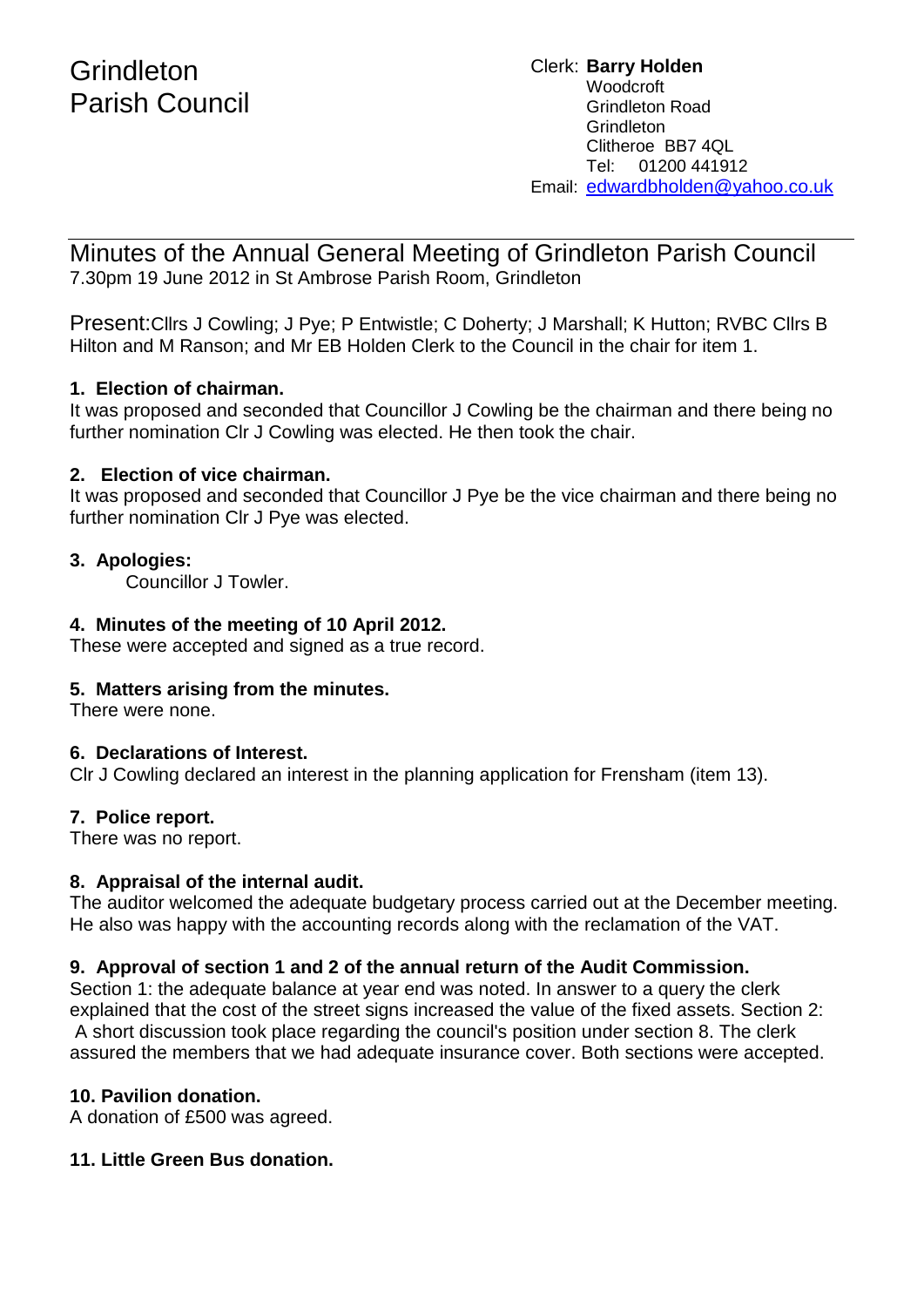Minutes of the Annual General Meeting of Grindleton Parish Council 7.30pm 19 June 2012 in St Ambrose Parish Room, Grindleton

Present:Cllrs J Cowling; J Pye; P Entwistle; C Doherty; J Marshall; K Hutton; RVBC Cllrs B Hilton and M Ranson; and Mr EB Holden Clerk to the Council in the chair for item 1.

## **1. Election of chairman.**

It was proposed and seconded that Councillor J Cowling be the chairman and there being no further nomination Clr J Cowling was elected. He then took the chair.

## **2. Election of vice chairman.**

It was proposed and seconded that Councillor J Pye be the vice chairman and there being no further nomination Clr J Pye was elected.

## **3. Apologies:**

Councillor J Towler.

## **4. Minutes of the meeting of 10 April 2012.**

These were accepted and signed as a true record.

## **5. Matters arising from the minutes.**

There were none.

## **6. Declarations of Interest.**

Clr J Cowling declared an interest in the planning application for Frensham (item 13).

## **7. Police report.**

There was no report.

## **8. Appraisal of the internal audit.**

The auditor welcomed the adequate budgetary process carried out at the December meeting. He also was happy with the accounting records along with the reclamation of the VAT.

## **9. Approval of section 1 and 2 of the annual return of the Audit Commission.**

Section 1: the adequate balance at year end was noted. In answer to a query the clerk explained that the cost of the street signs increased the value of the fixed assets. Section 2: A short discussion took place regarding the council's position under section 8. The clerk assured the members that we had adequate insurance cover. Both sections were accepted.

## **10. Pavilion donation.**

A donation of £500 was agreed.

## **11. Little Green Bus donation.**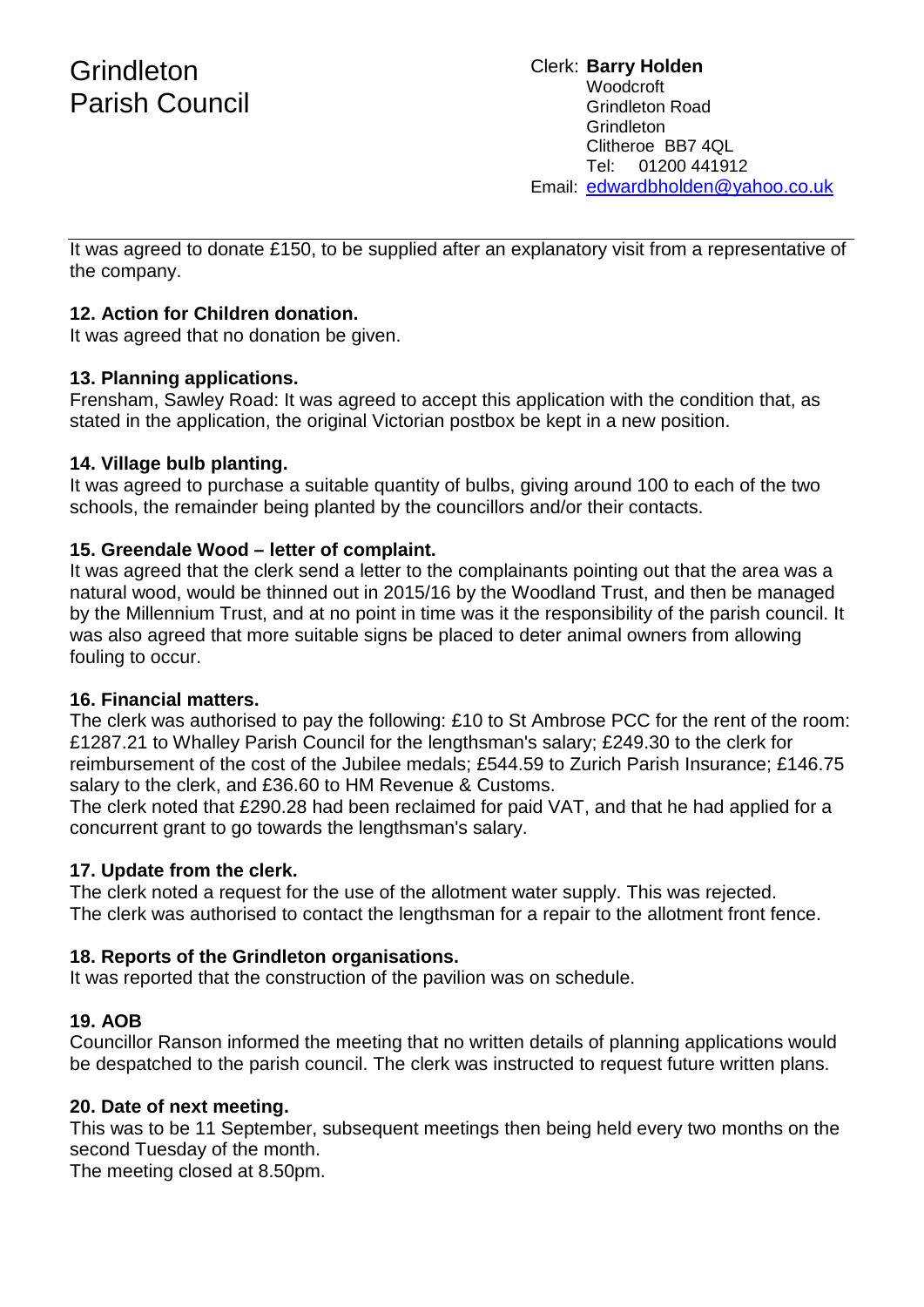Clerk: **Barry Holden** Woodcroft Grindleton Road **Grindleton** Clitheroe BB7 4QL Tel: 01200 441912 Email: [edwardbholden@yahoo.co.uk](mailto:edwardbholden@yahoo.co.uk)

It was agreed to donate £150, to be supplied after an explanatory visit from a representative of the company.

## **12. Action for Children donation.**

It was agreed that no donation be given.

## **13. Planning applications.**

Frensham, Sawley Road: It was agreed to accept this application with the condition that, as stated in the application, the original Victorian postbox be kept in a new position.

## **14. Village bulb planting.**

It was agreed to purchase a suitable quantity of bulbs, giving around 100 to each of the two schools, the remainder being planted by the councillors and/or their contacts.

## **15. Greendale Wood – letter of complaint.**

It was agreed that the clerk send a letter to the complainants pointing out that the area was a natural wood, would be thinned out in 2015/16 by the Woodland Trust, and then be managed by the Millennium Trust, and at no point in time was it the responsibility of the parish council. It was also agreed that more suitable signs be placed to deter animal owners from allowing fouling to occur.

## **16. Financial matters.**

The clerk was authorised to pay the following: £10 to St Ambrose PCC for the rent of the room: £1287.21 to Whalley Parish Council for the lengthsman's salary; £249.30 to the clerk for reimbursement of the cost of the Jubilee medals; £544.59 to Zurich Parish Insurance; £146.75 salary to the clerk, and £36.60 to HM Revenue & Customs.

The clerk noted that £290.28 had been reclaimed for paid VAT, and that he had applied for a concurrent grant to go towards the lengthsman's salary.

## **17. Update from the clerk.**

The clerk noted a request for the use of the allotment water supply. This was rejected. The clerk was authorised to contact the lengthsman for a repair to the allotment front fence.

## **18. Reports of the Grindleton organisations.**

It was reported that the construction of the pavilion was on schedule.

## **19. AOB**

Councillor Ranson informed the meeting that no written details of planning applications would be despatched to the parish council. The clerk was instructed to request future written plans.

## **20. Date of next meeting.**

This was to be 11 September, subsequent meetings then being held every two months on the second Tuesday of the month.

The meeting closed at 8.50pm.